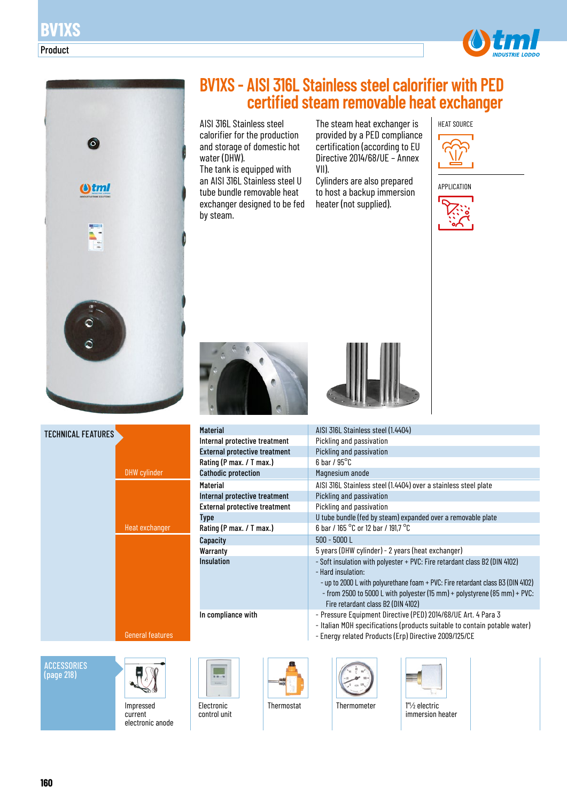



**ACCESSORIES** (page 218)



Impressed current electronic anode

# **BV1XS - AISI 316L Stainless steel calorifier with PED certified steam removable heat exchanger**

AISI 316L Stainless steel calorifier for the production and storage of domestic hot water (DHW).

The tank is equipped with an AISI 316L Stainless steel U tube bundle removable heat exchanger designed to be fed by steam.

The steam heat exchanger is provided by a PED compliance certification (according to EU Directive 2014/68/UE – Annex VII).

Cylinders are also prepared to host a backup immersion heater (not supplied).



APPLICATION







| Material                             | AISI 316L Stainless steel (1.4404)                                                                                                                                                                                                                                                                     |
|--------------------------------------|--------------------------------------------------------------------------------------------------------------------------------------------------------------------------------------------------------------------------------------------------------------------------------------------------------|
| Internal protective treatment        | Pickling and passivation                                                                                                                                                                                                                                                                               |
| <b>External protective treatment</b> | Pickling and passivation                                                                                                                                                                                                                                                                               |
| Rating (P max. / T max.)             | $6$ bar / $95^{\circ}$ C                                                                                                                                                                                                                                                                               |
| <b>Cathodic protection</b>           | Magnesium anode                                                                                                                                                                                                                                                                                        |
| Material                             | AISI 316L Stainless steel (1.4404) over a stainless steel plate                                                                                                                                                                                                                                        |
| Internal protective treatment        | Pickling and passivation                                                                                                                                                                                                                                                                               |
| <b>External protective treatment</b> | Pickling and passivation                                                                                                                                                                                                                                                                               |
| <b>Type</b>                          | U tube bundle (fed by steam) expanded over a removable plate                                                                                                                                                                                                                                           |
| Rating (P max. / T max.)             | 6 bar / 165 °C or 12 bar / 191,7 °C                                                                                                                                                                                                                                                                    |
| Capacity                             | $500 - 5000 L$                                                                                                                                                                                                                                                                                         |
| Warranty                             | 5 years (DHW cylinder) - 2 years (heat exchanger)                                                                                                                                                                                                                                                      |
| <b>Insulation</b>                    | - Soft insulation with polyester + PVC: Fire retardant class B2 (DIN 4102)<br>- Hard insulation:<br>- up to 2000 L with polyurethane foam + PVC: Fire retardant class B3 (DIN 4102)<br>- from 2500 to 5000 L with polyester (15 mm) + polystyrene (85 mm) + PVC:<br>Fire retardant class B2 (DIN 4102) |
| In compliance with                   | - Pressure Equipment Directive (PED) 2014/68/UE Art. 4 Para 3<br>- Italian MOH specifications (products suitable to contain potable water)                                                                                                                                                             |

- Energy related Products (Erp) Directive 2009/125/CE



Electronic control unit





Thermostat Thermometer 1" /2 electric



immersion heater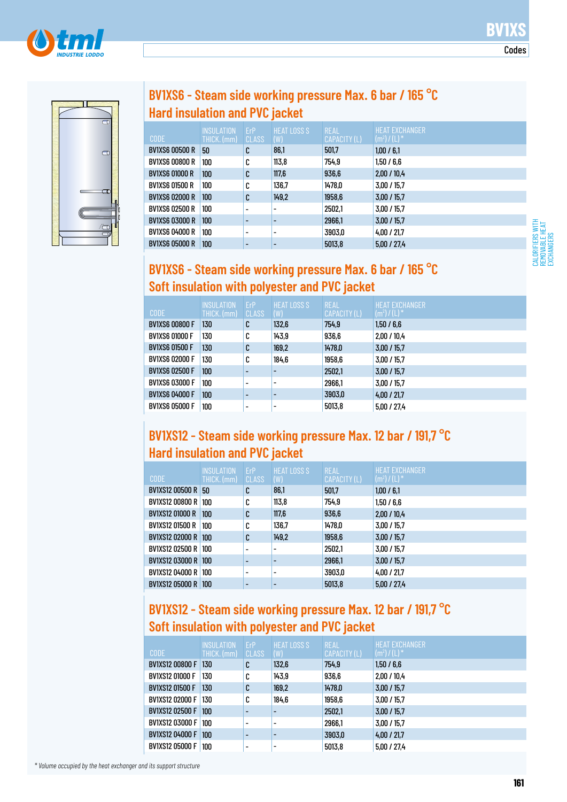





| $\bigcirc$               |  |
|--------------------------|--|
|                          |  |
| q                        |  |
|                          |  |
|                          |  |
| T                        |  |
|                          |  |
| $\overline{\phantom{a}}$ |  |
|                          |  |

### **BV1XS6 - Steam side working pressure Max. 6 bar / 165 °C Hard insulation and PVC jacket**

| <b>CODE</b>           | <b>INSULATION</b><br>THICK. (mm) | ErP<br><b>CLASS</b>      | <b>HEAT LOSS S</b><br>(W) | <b>REAL</b><br>CAPACITY (L) | <b>HEAT EXCHANGER</b><br>$(m^2) / (L)^*$ |
|-----------------------|----------------------------------|--------------------------|---------------------------|-----------------------------|------------------------------------------|
| <b>BV1XS6 00500 R</b> | 50                               | C                        | 86,1                      | 501,7                       | 1,00/6,1                                 |
| <b>BV1XS6 00800 R</b> | 100                              | C                        | 113.8                     | 754.9                       | 1,50/6,6                                 |
| <b>BV1XS6 01000 R</b> | 100                              | C                        | 117,6                     | 936,6                       | 2,00/10,4                                |
| <b>BV1XS6 01500 R</b> | 100                              | C                        | 136,7                     | 1478,0                      | 3,00 / 15,7                              |
| <b>BV1XS6 02000 R</b> | 100                              | C                        | 149,2                     | 1958,6                      | 3,00/15,7                                |
| <b>BV1XS6 02500 R</b> | 100                              | -                        | ٠                         | 2502,1                      | 3.00 / 15.7                              |
| <b>BV1XS6 03000 R</b> | 100                              | $\overline{\phantom{0}}$ | $\overline{\phantom{0}}$  | 2966,1                      | 3,00/15,7                                |
| <b>BV1XS6 04000 R</b> | 100                              | -                        | ٠                         | 3903,0                      | 4.00 / 21.7                              |
| <b>BV1XS6 05000 R</b> | 100                              |                          |                           | 5013.8                      | 5.00 / 27.4                              |

#### CALORIFIERS WITH REMOVABLE HEAT EXCHANGERS

#### **BV1XS6 - Steam side working pressure Max. 6 bar / 165 °C Soft insulation with polyester and PVC jacket**

| <b>CODE</b>           | INSULATION<br>THICK. (mm) | <b>FrP</b><br><b>CLASS</b> | <b>HEAT LOSS S</b><br>(W) | <b>REAL</b><br>CAPACITY (L) | <b>HEAT EXCHANGER</b><br>$(m^2) / (L)^*$ |
|-----------------------|---------------------------|----------------------------|---------------------------|-----------------------------|------------------------------------------|
| <b>BV1XS6 00800 F</b> | 130                       | C                          | 132,6                     | 754.9                       | 1,50/6,6                                 |
| <b>BV1XS6 01000 F</b> | 130                       | C                          | 143,9                     | 936,6                       | 2.00 / 10.4                              |
| <b>BV1XS6 01500 F</b> | 130                       | C                          | 169.2                     | 1478,0                      | 3.00 / 15.7                              |
| <b>BV1XS6 02000 F</b> | 130                       | C                          | 184,6                     | 1958,6                      | 3,00/15,7                                |
| <b>BV1XS6 02500 F</b> | 100                       |                            |                           | 2502,1                      | 3,00/15,7                                |
| <b>BV1XS6 03000 F</b> | 100                       | $\overline{\phantom{0}}$   |                           | 2966,1                      | 3.00 / 15.7                              |
| <b>BV1XS6 04000 F</b> | 100                       | $\overline{\phantom{0}}$   |                           | 3903,0                      | 4,00/21,7                                |
| <b>BV1XS6 05000 F</b> | 100                       | $\overline{\phantom{0}}$   |                           | 5013.8                      | 5.00 / 27.4                              |

### **BV1XS12 - Steam side working pressure Max. 12 bar / 191,7 °C Hard insulation and PVC jacket**

| <b>CODE</b>               | <b>INSULATION</b><br>THICK. (mm) | ErP<br><b>CLASS</b>      | <b>HEAT LOSS S</b><br>(W) | <b>REAL</b><br>CAPACITY (L) | <b>HEAT EXCHANGER</b><br>$(m^2) / (L)^*$ |
|---------------------------|----------------------------------|--------------------------|---------------------------|-----------------------------|------------------------------------------|
| <b>BV1XS12 00500 R 50</b> |                                  | C                        | 86,1                      | 501,7                       | 1,00/6,1                                 |
| BV1XS12 00800 R 100       |                                  | C                        | 113.8                     | 754.9                       | 1,50/6,6                                 |
| <b>BV1XS12 01000 R</b>    | 100                              | C                        | 117,6                     | 936,6                       | 2,00/10,4                                |
| BV1XS12 01500 R           | 100                              | C                        | 136.7                     | 1478,0                      | 3.00 / 15.7                              |
| BV1XS12 02000 R 100       |                                  | C                        | 149.2                     | 1958,6                      | 3,00/15,7                                |
| BV1XS12 02500 R 100       |                                  | -                        |                           | 2502,1                      | 3,00 / 15,7                              |
| BV1XS12 03000 R 100       |                                  |                          |                           | 2966,1                      | 3,00/15,7                                |
| BV1XS12 04000 R 100       |                                  | $\overline{\phantom{a}}$ |                           | 3903,0                      | 4,00/21,7                                |
| BV1XS12 05000 R 100       |                                  |                          |                           | 5013.8                      | 5.00 / 27.4                              |

#### **BV1XS12 - Steam side working pressure Max. 12 bar / 191,7 °C Soft insulation with polyester and PVC jacket**

| <b>CODE</b>            | <b>INSULATION</b><br>THICK. (mm) | ErP<br><b>CLASS</b>      | <b>HEAT LOSS S</b><br>(W) | <b>REAL</b><br>CAPACITY (L) | <b>HEAT EXCHANGER</b><br>$(m^2) / (L)^*$ |
|------------------------|----------------------------------|--------------------------|---------------------------|-----------------------------|------------------------------------------|
| <b>BV1XS12 00800 F</b> | 130                              | C                        | 132,6                     | 754.9                       | 1,50/6,6                                 |
| <b>BV1XS12 01000 F</b> | 130                              | C                        | 143,9                     | 936.6                       | 2.00 / 10.4                              |
| <b>BV1XS12 01500 F</b> | 130                              | C                        | 169.2                     | 1478,0                      | 3,00/15,7                                |
| <b>BV1XS12 02000 F</b> | 130                              | ◠<br>U                   | 184,6                     | 1958,6                      | 3,00/15,7                                |
| <b>BV1XS12 02500 F</b> | 100                              |                          |                           | 2502.1                      | 3.00 / 15.7                              |
| <b>BV1XS12 03000 F</b> | 100                              | $\overline{\phantom{0}}$ |                           | 2966,1                      | 3.00 / 15.7                              |
| <b>BV1XS12 04000 F</b> | 100                              |                          |                           | 3903,0                      | 4.00 / 21.7                              |
| <b>BV1XS12 05000 F</b> | 100                              | $\overline{\phantom{0}}$ | -                         | 5013,8                      | 5,00/27,4                                |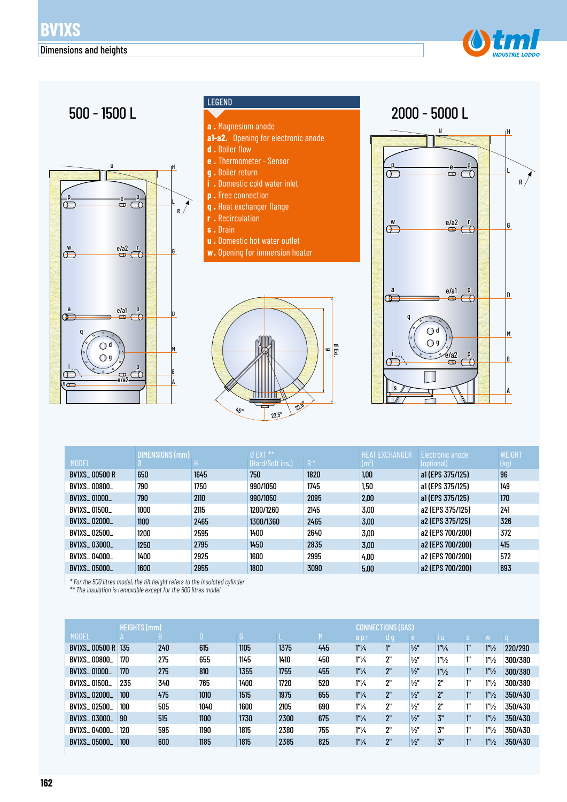



#### LEGEND



- **s .** Drain
- **u .** Domestic hot water outlet
- **w.** Opening for immersion heater





| <b>MODEL</b>         | DIMENSIONS (mm) |      | $Ø$ EXT $**$<br>(Hard/Soft ins.) | $R^*$ | <b>HEAT EXCHANGER</b><br>$(m^2)$ | Electronic anode<br>(optional) | <b>WEIGHT</b><br>(kg) |
|----------------------|-----------------|------|----------------------------------|-------|----------------------------------|--------------------------------|-----------------------|
| <b>BV1XS_00500 R</b> | 650             | 1645 | 750                              | 1820  | 1,00                             | a1 (EPS 375/125)               | 96                    |
| BV1XS 00800          | 790             | 1750 | 990/1050                         | 1745  | 1,50                             | a1 (EPS 375/125)               | 149                   |
| <b>BV1XS_01000_</b>  | 790             | 2110 | 990/1050                         | 2095  | 2.00                             | a1 (EPS 375/125)               | 170                   |
| BV1XS 01500          | 1000            | 2115 | 1200/1260                        | 2145  | 3,00                             | a2 (EPS 375/125)               | 241                   |
| <b>BV1XS 02000</b>   | 1100            | 2465 | 1300/1360                        | 2465  | 3.00                             | a2 (EPS 375/125)               | 326                   |
| BV1XS 02500          | 1200            | 2595 | 1400                             | 2640  | 3.00                             | a2 (EPS 700/200)               | 372                   |
| <b>BV1XS_03000_</b>  | 1250            | 2795 | 1450                             | 2835  | 3.00                             | a2 (EPS 700/200)               | 415                   |
| BV1XS_04000_         | 1400            | 2925 | 1600                             | 2995  | 4.00                             | a2 (EPS 700/200)               | 572                   |
| <b>BV1XS_05000_</b>  | 1600            | 2955 | 1800                             | 3090  | 5,00                             | a2 (EPS 700/200)               | 693                   |

*\* For the 500 litres model, the tilt height refers to the insulated cylinder* 

*\*\* The insulation is removable except for the 500 litres model*

|                      | <b>HEIGHTS (mm)</b> | <b>CONNECTIONS (GAS)</b> |      |      |      |     |                      |     |               |                               |                    |                   |         |
|----------------------|---------------------|--------------------------|------|------|------|-----|----------------------|-----|---------------|-------------------------------|--------------------|-------------------|---------|
| <b>MODEL</b>         |                     |                          | D    |      |      | M.  | apr                  | d g | e             | i u                           | <sub>S</sub>       | <b>W</b>          |         |
| <b>BV1XS_00500 R</b> | 135                 | 240                      | 615  | 1105 | 1375 | 445 | $1^{\prime\prime}/4$ | ľ"  | $\frac{1}{2}$ | 1 <sup>n</sup> / <sub>4</sub> | ľ.                 | 1 <sup>n</sup> /2 | 220/290 |
| <b>BV1XS 00800</b>   | 170                 | 275                      | 655  | 1145 | 1410 | 450 | $1''\frac{1}{4}$     | 2"  | $\frac{1}{2}$ | $1''\frac{1}{2}$              | 1"                 | 1 <sup>n</sup> /2 | 300/380 |
| <b>BV1XS_01000_</b>  | 170                 | 275                      | 810  | 1355 | 1755 | 455 | $1''\frac{1}{4}$     | 2"  | $\frac{1}{2}$ | $1''\frac{1}{2}$              | ľ.                 | 1 <sup>n</sup> /2 | 300/380 |
| <b>BV1XS_01500_</b>  | 235                 | 340                      | 765  | 1400 | 1720 | 520 | $1''\frac{1}{4}$     | 2"  | $\frac{1}{2}$ | 2"                            | 111                | 1 <sup>n</sup> /2 | 300/380 |
| <b>BV1XS_02000_</b>  | 100                 | 475                      | 1010 | 1515 | 1975 | 655 | $1''\frac{1}{4}$     | 2"  | $\frac{1}{2}$ | 2"                            | -111               | 1 <sup>n</sup> /2 | 350/430 |
| <b>BV1XS_02500_</b>  | 100                 | 505                      | 1040 | 1600 | 2105 | 690 | $1''\frac{1}{4}$     | 2"  | $\frac{1}{2}$ | 2"                            | $1^{\prime\prime}$ | 1 <sup>n</sup> /2 | 350/430 |
| <b>BV1XS_03000_</b>  | 90                  | 515                      | 1100 | 1730 | 2300 | 675 | $1^{\prime\prime}/4$ | 2"  | $\frac{1}{2}$ | 3"                            | 10                 | 1 <sup>n</sup> /2 | 350/430 |
| BV1XS_04000_         | 120                 | 595                      | 1190 | 1815 | 2380 | 755 | $1''\frac{1}{4}$     | 2"  | $\frac{1}{2}$ | 3"                            | 111                | 1 <sup>n</sup> /2 | 350/430 |
| <b>BV1XS_05000_</b>  | 100                 | 600                      | 1185 | 1815 | 2385 | 825 | $1^{\prime\prime}/4$ | 2"  | $\frac{1}{2}$ | 3"                            | 10                 | 1 <sup>n</sup> /2 | 350/430 |